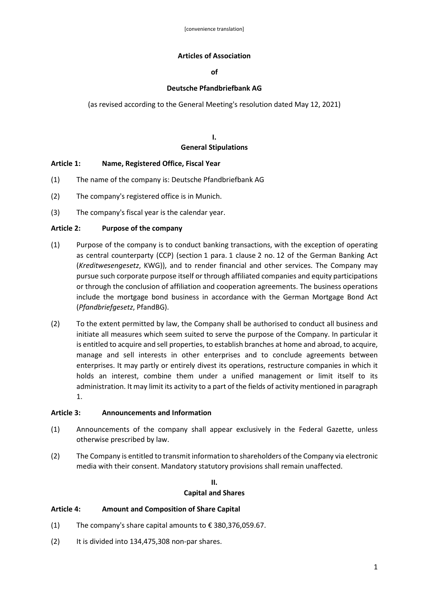### **Articles of Association**

**of** 

## **Deutsche Pfandbriefbank AG**

(as revised according to the General Meeting's resolution dated May 12, 2021)

# **I. General Stipulations**

## **Article 1: Name, Registered Office, Fiscal Year**

- (1) The name of the company is: Deutsche Pfandbriefbank AG
- (2) The company's registered office is in Munich.
- (3) The company's fiscal year is the calendar year.

### **Article 2: Purpose of the company**

- (1) Purpose of the company is to conduct banking transactions, with the exception of operating as central counterparty (CCP) (section 1 para. 1 clause 2 no. 12 of the German Banking Act (*Kreditwesengesetz*, KWG)), and to render financial and other services. The Company may pursue such corporate purpose itself or through affiliated companies and equity participations or through the conclusion of affiliation and cooperation agreements. The business operations include the mortgage bond business in accordance with the German Mortgage Bond Act (*Pfandbriefgesetz*, PfandBG).
- (2) To the extent permitted by law, the Company shall be authorised to conduct all business and initiate all measures which seem suited to serve the purpose of the Company. In particular it is entitled to acquire and sell properties, to establish branches at home and abroad, to acquire, manage and sell interests in other enterprises and to conclude agreements between enterprises. It may partly or entirely divest its operations, restructure companies in which it holds an interest, combine them under a unified management or limit itself to its administration. It may limit its activity to a part of the fields of activity mentioned in paragraph 1.

### **Article 3: Announcements and Information**

- (1) Announcements of the company shall appear exclusively in the Federal Gazette, unless otherwise prescribed by law.
- (2) The Company is entitled to transmit information to shareholders of the Company via electronic media with their consent. Mandatory statutory provisions shall remain unaffected.

## **II. Capital and Shares**

### **Article 4: Amount and Composition of Share Capital**

- (1) The company's share capital amounts to  $\epsilon$  380,376,059.67.
- (2) It is divided into 134,475,308 non-par shares.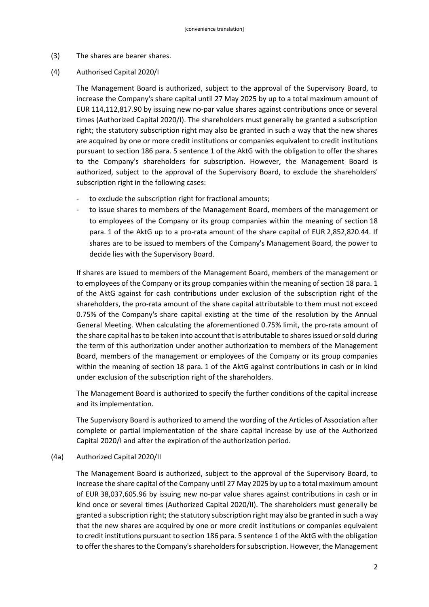- (3) The shares are bearer shares.
- (4) Authorised Capital 2020/I

The Management Board is authorized, subject to the approval of the Supervisory Board, to increase the Company's share capital until 27 May 2025 by up to a total maximum amount of EUR 114,112,817.90 by issuing new no-par value shares against contributions once or several times (Authorized Capital 2020/I). The shareholders must generally be granted a subscription right; the statutory subscription right may also be granted in such a way that the new shares are acquired by one or more credit institutions or companies equivalent to credit institutions pursuant to section 186 para. 5 sentence 1 of the AktG with the obligation to offer the shares to the Company's shareholders for subscription. However, the Management Board is authorized, subject to the approval of the Supervisory Board, to exclude the shareholders' subscription right in the following cases:

- to exclude the subscription right for fractional amounts;
- to issue shares to members of the Management Board, members of the management or to employees of the Company or its group companies within the meaning of section 18 para. 1 of the AktG up to a pro-rata amount of the share capital of EUR 2,852,820.44. If shares are to be issued to members of the Company's Management Board, the power to decide lies with the Supervisory Board.

If shares are issued to members of the Management Board, members of the management or to employees of the Company or its group companies within the meaning of section 18 para. 1 of the AktG against for cash contributions under exclusion of the subscription right of the shareholders, the pro-rata amount of the share capital attributable to them must not exceed 0.75% of the Company's share capital existing at the time of the resolution by the Annual General Meeting. When calculating the aforementioned 0.75% limit, the pro-rata amount of the share capital has to be taken into account that is attributable to shares issued or sold during the term of this authorization under another authorization to members of the Management Board, members of the management or employees of the Company or its group companies within the meaning of section 18 para. 1 of the AktG against contributions in cash or in kind under exclusion of the subscription right of the shareholders.

The Management Board is authorized to specify the further conditions of the capital increase and its implementation.

The Supervisory Board is authorized to amend the wording of the Articles of Association after complete or partial implementation of the share capital increase by use of the Authorized Capital 2020/I and after the expiration of the authorization period.

(4a) Authorized Capital 2020/II

The Management Board is authorized, subject to the approval of the Supervisory Board, to increase the share capital of the Company until 27 May 2025 by up to a total maximum amount of EUR 38,037,605.96 by issuing new no-par value shares against contributions in cash or in kind once or several times (Authorized Capital 2020/II). The shareholders must generally be granted a subscription right; the statutory subscription right may also be granted in such a way that the new shares are acquired by one or more credit institutions or companies equivalent to credit institutions pursuant to section 186 para. 5 sentence 1 of the AktG with the obligation to offer the shares to the Company's shareholders for subscription. However, the Management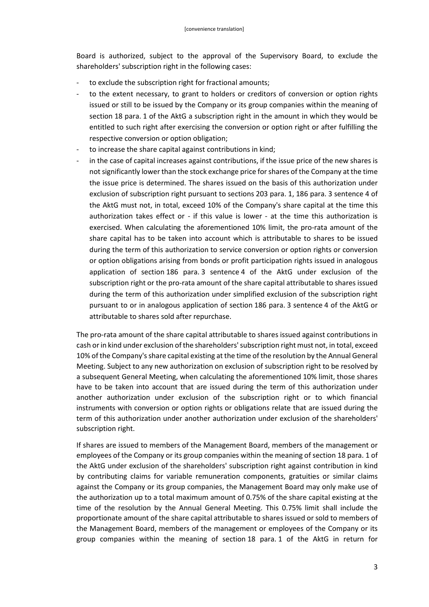Board is authorized, subject to the approval of the Supervisory Board, to exclude the shareholders' subscription right in the following cases:

- to exclude the subscription right for fractional amounts;
- to the extent necessary, to grant to holders or creditors of conversion or option rights issued or still to be issued by the Company or its group companies within the meaning of section 18 para. 1 of the AktG a subscription right in the amount in which they would be entitled to such right after exercising the conversion or option right or after fulfilling the respective conversion or option obligation;
- to increase the share capital against contributions in kind;
- in the case of capital increases against contributions, if the issue price of the new shares is not significantly lower than the stock exchange price for shares of the Company at the time the issue price is determined. The shares issued on the basis of this authorization under exclusion of subscription right pursuant to sections 203 para. 1, 186 para. 3 sentence 4 of the AktG must not, in total, exceed 10% of the Company's share capital at the time this authorization takes effect or - if this value is lower - at the time this authorization is exercised. When calculating the aforementioned 10% limit, the pro-rata amount of the share capital has to be taken into account which is attributable to shares to be issued during the term of this authorization to service conversion or option rights or conversion or option obligations arising from bonds or profit participation rights issued in analogous application of section 186 para. 3 sentence 4 of the AktG under exclusion of the subscription right or the pro-rata amount of the share capital attributable to shares issued during the term of this authorization under simplified exclusion of the subscription right pursuant to or in analogous application of section 186 para. 3 sentence 4 of the AktG or attributable to shares sold after repurchase.

The pro-rata amount of the share capital attributable to shares issued against contributions in cash or in kind under exclusion of the shareholders' subscription right must not, in total, exceed 10% of the Company's share capital existing at the time of the resolution by the Annual General Meeting. Subject to any new authorization on exclusion of subscription right to be resolved by a subsequent General Meeting, when calculating the aforementioned 10% limit, those shares have to be taken into account that are issued during the term of this authorization under another authorization under exclusion of the subscription right or to which financial instruments with conversion or option rights or obligations relate that are issued during the term of this authorization under another authorization under exclusion of the shareholders' subscription right.

If shares are issued to members of the Management Board, members of the management or employees of the Company or its group companies within the meaning of section 18 para. 1 of the AktG under exclusion of the shareholders' subscription right against contribution in kind by contributing claims for variable remuneration components, gratuities or similar claims against the Company or its group companies, the Management Board may only make use of the authorization up to a total maximum amount of 0.75% of the share capital existing at the time of the resolution by the Annual General Meeting. This 0.75% limit shall include the proportionate amount of the share capital attributable to shares issued or sold to members of the Management Board, members of the management or employees of the Company or its group companies within the meaning of section 18 para. 1 of the AktG in return for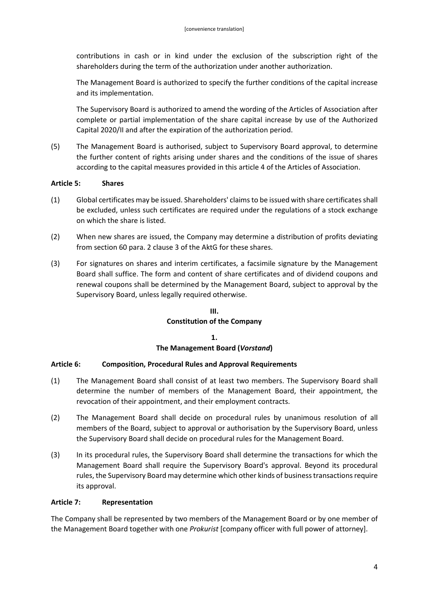contributions in cash or in kind under the exclusion of the subscription right of the shareholders during the term of the authorization under another authorization.

The Management Board is authorized to specify the further conditions of the capital increase and its implementation.

The Supervisory Board is authorized to amend the wording of the Articles of Association after complete or partial implementation of the share capital increase by use of the Authorized Capital 2020/II and after the expiration of the authorization period.

(5) The Management Board is authorised, subject to Supervisory Board approval, to determine the further content of rights arising under shares and the conditions of the issue of shares according to the capital measures provided in this article 4 of the Articles of Association.

### **Article 5: Shares**

- (1) Global certificates may be issued. Shareholders' claims to be issued with share certificates shall be excluded, unless such certificates are required under the regulations of a stock exchange on which the share is listed.
- (2) When new shares are issued, the Company may determine a distribution of profits deviating from section 60 para. 2 clause 3 of the AktG for these shares.
- (3) For signatures on shares and interim certificates, a facsimile signature by the Management Board shall suffice. The form and content of share certificates and of dividend coupons and renewal coupons shall be determined by the Management Board, subject to approval by the Supervisory Board, unless legally required otherwise.

### **III.**

### **Constitution of the Company**

## **1. The Management Board (***Vorstand***)**

### **Article 6: Composition, Procedural Rules and Approval Requirements**

- (1) The Management Board shall consist of at least two members. The Supervisory Board shall determine the number of members of the Management Board, their appointment, the revocation of their appointment, and their employment contracts.
- (2) The Management Board shall decide on procedural rules by unanimous resolution of all members of the Board, subject to approval or authorisation by the Supervisory Board, unless the Supervisory Board shall decide on procedural rules for the Management Board.
- (3) In its procedural rules, the Supervisory Board shall determine the transactions for which the Management Board shall require the Supervisory Board's approval. Beyond its procedural rules, the Supervisory Board may determine which other kinds of business transactions require its approval.

### **Article 7: Representation**

The Company shall be represented by two members of the Management Board or by one member of the Management Board together with one *Prokurist* [company officer with full power of attorney].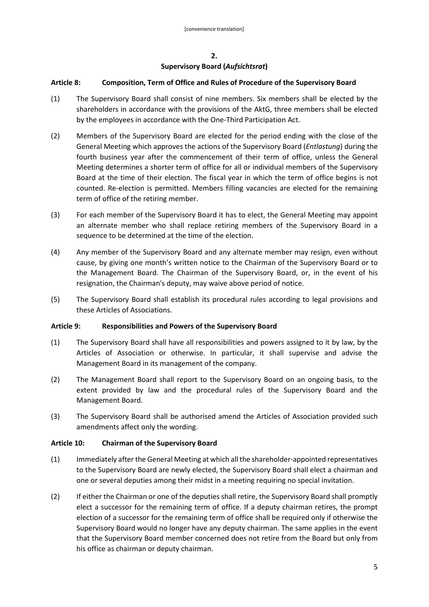## **Supervisory Board (***Aufsichtsrat***)**

## **Article 8: Composition, Term of Office and Rules of Procedure of the Supervisory Board**

- (1) The Supervisory Board shall consist of nine members. Six members shall be elected by the shareholders in accordance with the provisions of the AktG, three members shall be elected by the employees in accordance with the One-Third Participation Act.
- (2) Members of the Supervisory Board are elected for the period ending with the close of the General Meeting which approves the actions of the Supervisory Board (*Entlastung*) during the fourth business year after the commencement of their term of office, unless the General Meeting determines a shorter term of office for all or individual members of the Supervisory Board at the time of their election. The fiscal year in which the term of office begins is not counted. Re-election is permitted. Members filling vacancies are elected for the remaining term of office of the retiring member.
- (3) For each member of the Supervisory Board it has to elect, the General Meeting may appoint an alternate member who shall replace retiring members of the Supervisory Board in a sequence to be determined at the time of the election.
- (4) Any member of the Supervisory Board and any alternate member may resign, even without cause, by giving one month's written notice to the Chairman of the Supervisory Board or to the Management Board. The Chairman of the Supervisory Board, or, in the event of his resignation, the Chairman's deputy, may waive above period of notice.
- (5) The Supervisory Board shall establish its procedural rules according to legal provisions and these Articles of Associations.

### **Article 9: Responsibilities and Powers of the Supervisory Board**

- (1) The Supervisory Board shall have all responsibilities and powers assigned to it by law, by the Articles of Association or otherwise. In particular, it shall supervise and advise the Management Board in its management of the company.
- (2) The Management Board shall report to the Supervisory Board on an ongoing basis, to the extent provided by law and the procedural rules of the Supervisory Board and the Management Board.
- (3) The Supervisory Board shall be authorised amend the Articles of Association provided such amendments affect only the wording.

### **Article 10: Chairman of the Supervisory Board**

- (1) Immediately after the General Meeting at which all the shareholder-appointed representatives to the Supervisory Board are newly elected, the Supervisory Board shall elect a chairman and one or several deputies among their midst in a meeting requiring no special invitation.
- (2) If either the Chairman or one of the deputies shall retire, the Supervisory Board shall promptly elect a successor for the remaining term of office. If a deputy chairman retires, the prompt election of a successor for the remaining term of office shall be required only if otherwise the Supervisory Board would no longer have any deputy chairman. The same applies in the event that the Supervisory Board member concerned does not retire from the Board but only from his office as chairman or deputy chairman.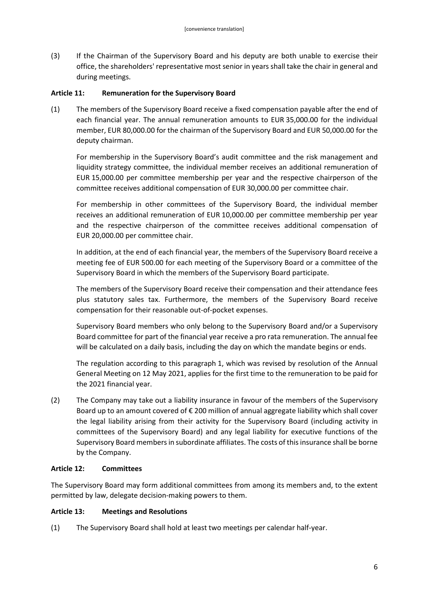(3) If the Chairman of the Supervisory Board and his deputy are both unable to exercise their office, the shareholders' representative most senior in years shall take the chair in general and during meetings.

### **Article 11: Remuneration for the Supervisory Board**

(1) The members of the Supervisory Board receive a fixed compensation payable after the end of each financial year. The annual remuneration amounts to EUR 35,000.00 for the individual member, EUR 80,000.00 for the chairman of the Supervisory Board and EUR 50,000.00 for the deputy chairman.

For membership in the Supervisory Board's audit committee and the risk management and liquidity strategy committee, the individual member receives an additional remuneration of EUR 15,000.00 per committee membership per year and the respective chairperson of the committee receives additional compensation of EUR 30,000.00 per committee chair.

For membership in other committees of the Supervisory Board, the individual member receives an additional remuneration of EUR 10,000.00 per committee membership per year and the respective chairperson of the committee receives additional compensation of EUR 20,000.00 per committee chair.

In addition, at the end of each financial year, the members of the Supervisory Board receive a meeting fee of EUR 500.00 for each meeting of the Supervisory Board or a committee of the Supervisory Board in which the members of the Supervisory Board participate.

The members of the Supervisory Board receive their compensation and their attendance fees plus statutory sales tax. Furthermore, the members of the Supervisory Board receive compensation for their reasonable out-of-pocket expenses.

Supervisory Board members who only belong to the Supervisory Board and/or a Supervisory Board committee for part of the financial year receive a pro rata remuneration. The annual fee will be calculated on a daily basis, including the day on which the mandate begins or ends.

The regulation according to this paragraph 1, which was revised by resolution of the Annual General Meeting on 12 May 2021, applies for the first time to the remuneration to be paid for the 2021 financial year.

(2) The Company may take out a liability insurance in favour of the members of the Supervisory Board up to an amount covered of € 200 million of annual aggregate liability which shall cover the legal liability arising from their activity for the Supervisory Board (including activity in committees of the Supervisory Board) and any legal liability for executive functions of the Supervisory Board members in subordinate affiliates. The costs of this insurance shall be borne by the Company.

### **Article 12: Committees**

The Supervisory Board may form additional committees from among its members and, to the extent permitted by law, delegate decision-making powers to them.

### **Article 13: Meetings and Resolutions**

(1) The Supervisory Board shall hold at least two meetings per calendar half-year.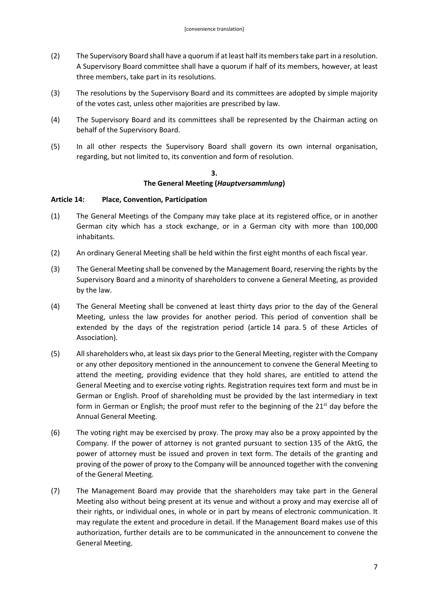- (2) The Supervisory Board shall have a quorum if at least half its members take part in a resolution. A Supervisory Board committee shall have a quorum if half of its members, however, at least three members, take part in its resolutions.
- (3) The resolutions by the Supervisory Board and its committees are adopted by simple majority of the votes cast, unless other majorities are prescribed by law.
- (4) The Supervisory Board and its committees shall be represented by the Chairman acting on behalf of the Supervisory Board.
- (5) In all other respects the Supervisory Board shall govern its own internal organisation, regarding, but not limited to, its convention and form of resolution.

#### **3. The General Meeting (***Hauptversammlung***)**

### **Article 14: Place, Convention, Participation**

- (1) The General Meetings of the Company may take place at its registered office, or in another German city which has a stock exchange, or in a German city with more than 100,000 inhabitants.
- (2) An ordinary General Meeting shall be held within the first eight months of each fiscal year.
- (3) The General Meeting shall be convened by the Management Board, reserving the rights by the Supervisory Board and a minority of shareholders to convene a General Meeting, as provided by the law.
- (4) The General Meeting shall be convened at least thirty days prior to the day of the General Meeting, unless the law provides for another period. This period of convention shall be extended by the days of the registration period (article 14 para. 5 of these Articles of Association).
- (5) All shareholders who, at least six days prior to the General Meeting, register with the Company or any other depository mentioned in the announcement to convene the General Meeting to attend the meeting, providing evidence that they hold shares, are entitled to attend the General Meeting and to exercise voting rights. Registration requires text form and must be in German or English. Proof of shareholding must be provided by the last intermediary in text form in German or English; the proof must refer to the beginning of the  $21<sup>st</sup>$  day before the Annual General Meeting.
- (6) The voting right may be exercised by proxy. The proxy may also be a proxy appointed by the Company. If the power of attorney is not granted pursuant to section 135 of the AktG, the power of attorney must be issued and proven in text form. The details of the granting and proving of the power of proxy to the Company will be announced together with the convening of the General Meeting.
- (7) The Management Board may provide that the shareholders may take part in the General Meeting also without being present at its venue and without a proxy and may exercise all of their rights, or individual ones, in whole or in part by means of electronic communication. It may regulate the extent and procedure in detail. If the Management Board makes use of this authorization, further details are to be communicated in the announcement to convene the General Meeting.